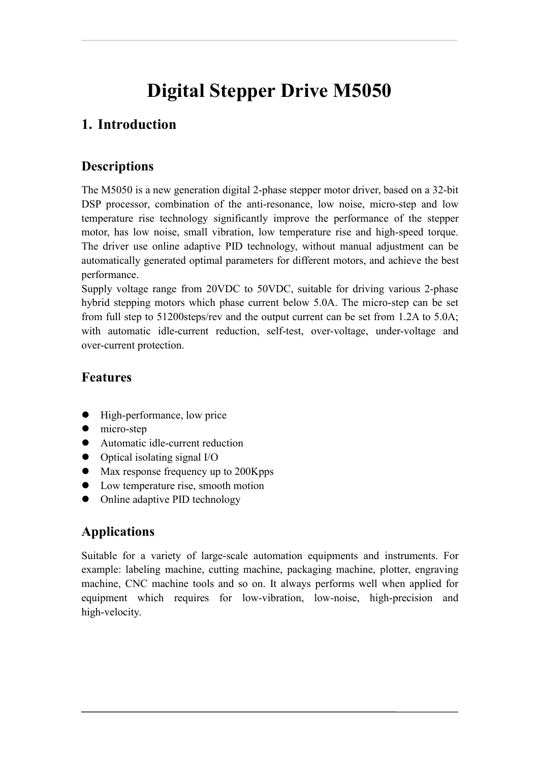# **Digital Stepper Drive M5050**

### **1. Introduction**

#### **Descriptions**

The M5050 is a new generation digital 2-phase stepper motor driver, based on a 32-bit DSP processor, combination of the anti-resonance, low noise, micro-step and low temperature rise technology significantly improve the performance of the stepper motor, has low noise, small vibration, low temperature rise and high-speed torque. The driver use online adaptive PID technology, without manual adjustment can be automatically generated optimal parameters for different motors, and achieve the best performance.

Supply voltage range from 20VDC to 50VDC, suitable for driving various 2-phase hybrid stepping motors which phase current below 5.0A. The micro-step can be set from full step to 51200steps/rev and the output current can be set from 1.2A to 5.0A; with automatic idle-current reduction, self-test, over-voltage, under-voltage and over-current protection.

#### **Features**

- High-performance, low price
- micro-step
- Automatic idle-current reduction
- $\bullet$  Optical isolating signal I/O
- Max response frequency up to 200Kpps
- Low temperature rise, smooth motion
- Online adaptive PID technology

#### **Applications**

Suitable for a variety of large-scale automation equipments and instruments. For example: labeling machine, cutting machine, packaging machine, plotter, engraving machine, CNC machine tools and so on. It always performs well when applied for equipment which requires for low-vibration, low-noise, high-precision and high-velocity.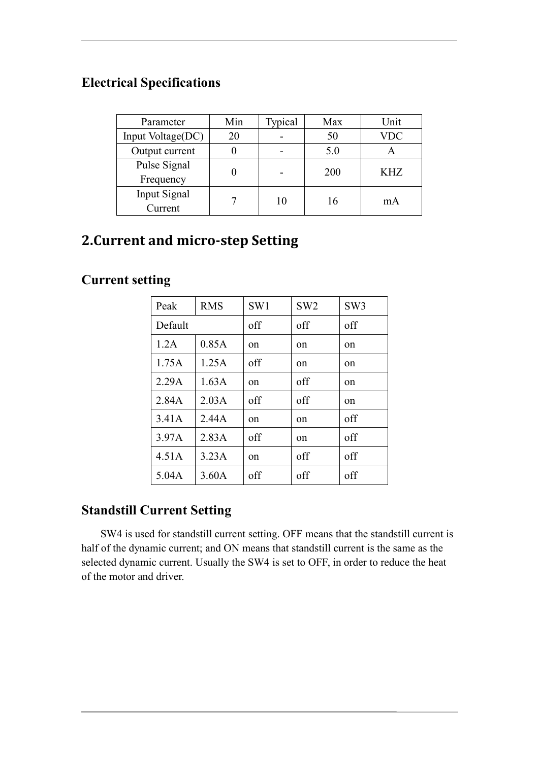#### **Electrical Specifications**

| Parameter         | Min              | Typical                  | Max | Unit       |
|-------------------|------------------|--------------------------|-----|------------|
| Input Voltage(DC) | 20               | $\overline{\phantom{a}}$ | 50  | <b>VDC</b> |
| Output current    | 0                | ۰                        | 5.0 | A          |
| Pulse Signal      | $\boldsymbol{0}$ | $\overline{\phantom{0}}$ | 200 | <b>KHZ</b> |
| Frequency         |                  |                          |     |            |
| Input Signal      | 7                | 10                       | 16  | mA         |
| Current           |                  |                          |     |            |

# **2.Current and micro-step Setting**

#### **Current setting**

| Peak    | <b>RMS</b> | SW1 | SW <sub>2</sub> | SW <sub>3</sub> |
|---------|------------|-----|-----------------|-----------------|
| Default |            | off | off             | off             |
| 1.2A    | 0.85A      | on  | on              | on              |
| 1.75A   | 1.25A      | off | on              | on              |
| 2.29A   | 1.63A      | on  | off             | on              |
| 2.84A   | 2.03A      | off | off             | on              |
| 3.41A   | 2.44A      | on  | on              | off             |
| 3.97A   | 2.83A      | off | on              | off             |
| 4.51A   | 3.23A      | on  | off             | off             |
| 5.04A   | 3.60A      | off | off             | off             |

#### **Standstill Current Setting**

SW4 is used for standstill current setting. OFF means that the standstill current is half of the dynamic current; and ON means that standstill current is the same as the selected dynamic current. Usually the SW4 is set to OFF, in order to reduce the heat of the motor and driver.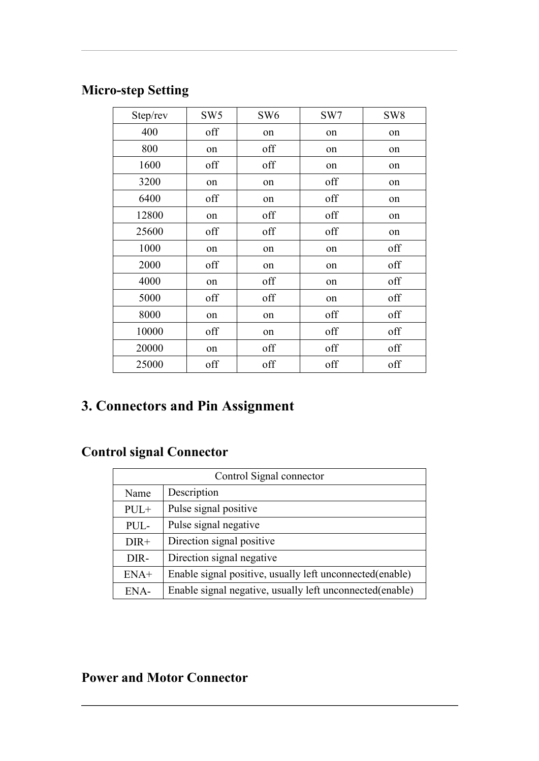# **Micro-step Setting**

| Step/rev | SW <sub>5</sub> | SW <sub>6</sub> | SW7 | SW <sub>8</sub> |
|----------|-----------------|-----------------|-----|-----------------|
| 400      | off             | on              | on  | on              |
| 800      | on              | off             | on  | on              |
| 1600     | off             | off             | on  | on              |
| 3200     | on              | on              | off | on              |
| 6400     | off             | on              | off | on              |
| 12800    | on              | off             | off | on              |
| 25600    | off             | off             | off | on              |
| 1000     | on              | on              | on  | off             |
| 2000     | off             | on              | on  | off             |
| 4000     | on              | off             | on  | off             |
| 5000     | off             | off             | on  | off             |
| 8000     | on              | on              | off | off             |
| 10000    | off             | on              | off | off             |
| 20000    | on              | off             | off | off             |
| 25000    | off             | off             | off | off             |

# **3. Connectors and Pin Assignment**

# **Control signal Connector**

|        | Control Signal connector                                  |
|--------|-----------------------------------------------------------|
| Name   | Description                                               |
| $PUL+$ | Pulse signal positive                                     |
| PUL-   | Pulse signal negative                                     |
| $DIR+$ | Direction signal positive                                 |
| DIR-   | Direction signal negative                                 |
| $ENA+$ | Enable signal positive, usually left unconnected (enable) |
| ENA-   | Enable signal negative, usually left unconnected (enable) |

#### **Power and Motor Connector**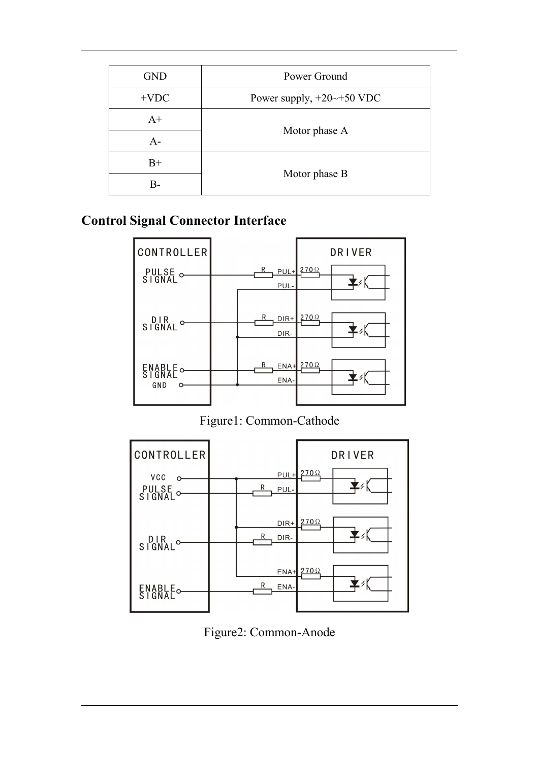| <b>GND</b> | Power Ground                            |  |  |
|------------|-----------------------------------------|--|--|
| $+VDC$     | Power supply, $+20 \rightarrow +50$ VDC |  |  |
| $A+$       |                                         |  |  |
| $A-$       | Motor phase A                           |  |  |
| $B+$       | Motor phase B                           |  |  |
| B-         |                                         |  |  |

#### **Control Signal Connector Interface**



Figure1: Common-Cathode



Figure2: Common-Anode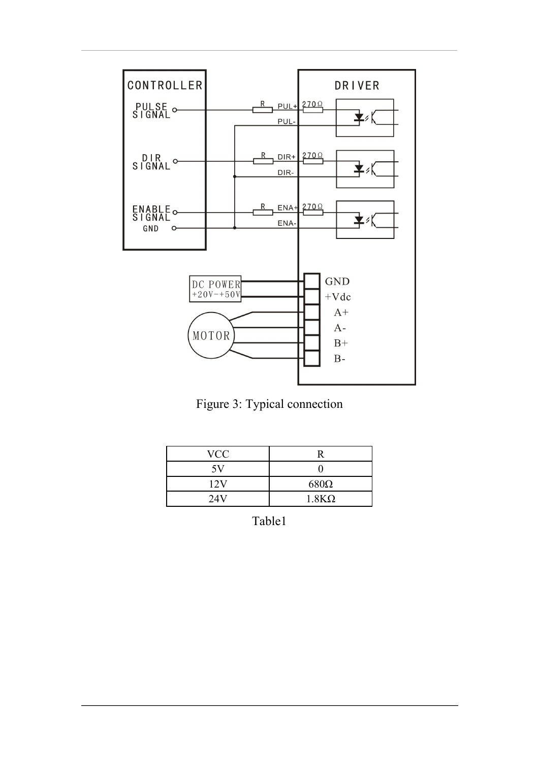

Figure 3: Typical connection

| <b>VCC</b> |              |
|------------|--------------|
| 5V         |              |
| 12V        | $680\Omega$  |
| 24V        | $1.8K\Omega$ |

Table1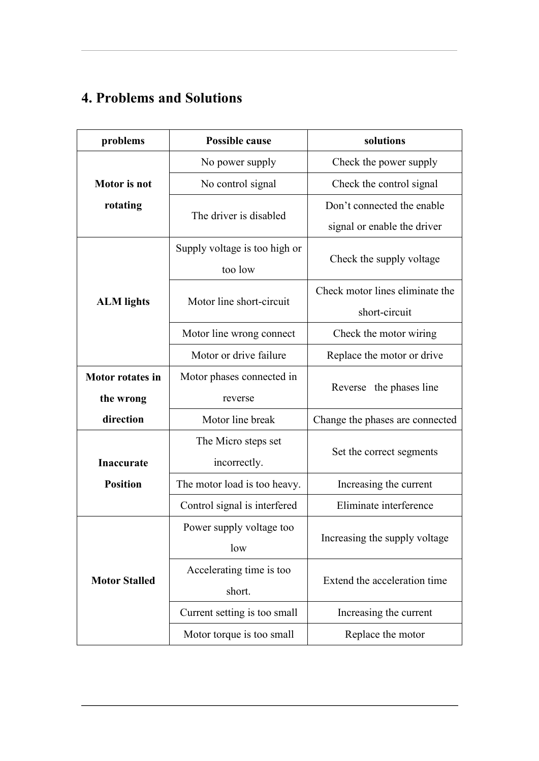# **4. Problems and Solutions**

| problems                      | <b>Possible cause</b>                    | solutions                                        |  |
|-------------------------------|------------------------------------------|--------------------------------------------------|--|
|                               | No power supply                          | Check the power supply                           |  |
| Motor is not                  | No control signal                        | Check the control signal                         |  |
| rotating                      |                                          | Don't connected the enable                       |  |
|                               | The driver is disabled                   | signal or enable the driver                      |  |
|                               | Supply voltage is too high or<br>too low | Check the supply voltage                         |  |
| <b>ALM</b> lights             | Motor line short-circuit                 | Check motor lines eliminate the<br>short-circuit |  |
|                               | Motor line wrong connect                 | Check the motor wiring                           |  |
|                               | Motor or drive failure                   | Replace the motor or drive                       |  |
| Motor rotates in<br>the wrong | Motor phases connected in<br>reverse     | Reverse the phases line                          |  |
| direction                     | Motor line break                         | Change the phases are connected                  |  |
| Inaccurate                    | The Micro steps set<br>incorrectly.      | Set the correct segments                         |  |
| <b>Position</b>               | The motor load is too heavy.             | Increasing the current                           |  |
|                               | Control signal is interfered             | Eliminate interference                           |  |
|                               | Power supply voltage too<br>low          | Increasing the supply voltage                    |  |
| <b>Motor Stalled</b>          | Accelerating time is too<br>short.       | Extend the acceleration time                     |  |
|                               | Current setting is too small             | Increasing the current                           |  |
|                               | Motor torque is too small                | Replace the motor                                |  |